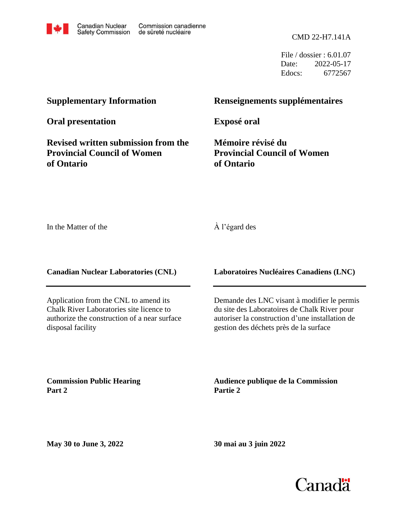CMD 22-H7.141A

File / dossier : 6.01.07 Date: 2022-05-17 Edocs: 6772567

# **Supplementary Information**

**Oral presentation**

**Revised written submission from the Provincial Council of Women of Ontario**

## **Renseignements supplémentaires**

**Exposé oral**

**Mémoire révisé du Provincial Council of Women of Ontario**

In the Matter of the

À l'égard des

**Canadian Nuclear Laboratories (CNL)**

Application from the CNL to amend its Chalk River Laboratories site licence to authorize the construction of a near surface disposal facility

**Laboratoires Nucléaires Canadiens (LNC)**

Demande des LNC visant à modifier le permis du site des Laboratoires de Chalk River pour autoriser la construction d'une installation de gestion des déchets près de la surface

**Commission Public Hearing Part 2**

**Audience publique de la Commission Partie 2**

**May 30 to June 3, 2022**

**30 mai au 3 juin 2022**

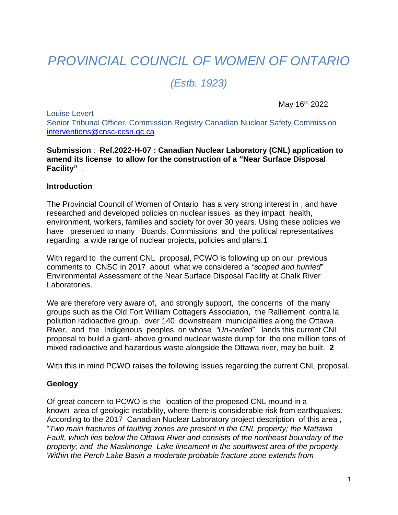# *PROVINCIAL COUNCIL OF WOMEN OF ONTARIO*

*(Estb. 1923)*

May 16th 2022

Louise Levert Senior Tribunal Officer, Commission Registry Canadian Nuclear Safety Commission [interventions@cnsc-ccsn.gc.ca](mailto:interventions@cnsc-ccsn.gc.ca)

#### **Submission** : **Ref.2022-H-07 : Canadian Nuclear Laboratory (CNL) application to amend its license to allow for the construction of a "Near Surface Disposal Facility"** .

#### **Introduction**

The Provincial Council of Women of Ontario has a very strong interest in , and have researched and developed policies on nuclear issues as they impact health, environment, workers, families and society for over 30 years. Using these policies we have presented to many Boards, Commissions and the political representatives regarding a wide range of nuclear projects, policies and plans.1

With regard to the current CNL proposal, PCWO is following up on our previous comments to CNSC in 2017 about what we considered a *"scoped and hurried*" Environmental Assessment of the Near Surface Disposal Facility at Chalk River Laboratories.

We are therefore very aware of, and strongly support, the concerns of the many groups such as the Old Fort William Cottagers Association, the Ralliement contra la pollution radioactive group, over 140 downstream municipalities along the Ottawa River, and the Indigenous peoples, on whose *"Un-ceded*" lands this current CNL proposal to build a giant- above ground nuclear waste dump for the one million tons of mixed radioactive and hazardous waste alongside the Ottawa river, may be built. **2**

With this in mind PCWO raises the following issues regarding the current CNL proposal.

#### **Geology**

Of great concern to PCWO is the location of the proposed CNL mound in a known area of geologic instability, where there is considerable risk from earthquakes. According to the 2017 Canadian Nuclear Laboratory project description of this area , "*Two main fractures of faulting zones are present in the CNL property; the Mattawa Fault, which lies below the Ottawa River and consists of the northeast boundary of the property; and the Maskinonge Lake lineament in the southwest area of the property. Within the Perch Lake Basin a moderate probable fracture zone extends from*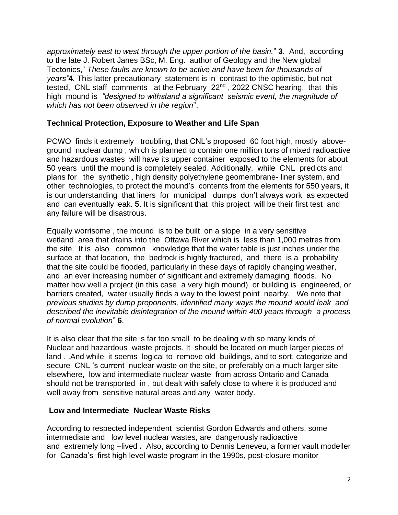*approximately east to west through the upper portion of the basin.*" **3**. And, according to the late J. Robert Janes BSc, M. Eng. author of Geology and the New global Tectonics," *These faults are known to be active and have been for thousands of years"***4***.* This latter precautionary statement is in contrast to the optimistic, but not tested, CNL staff comments at the February 22<sup>nd</sup>, 2022 CNSC hearing, that this high mound is *"designed to withstand a significant seismic event, the magnitude of which has not been observed in the region*".

#### **Technical Protection, Exposure to Weather and Life Span**

PCWO finds it extremely troubling, that CNL's proposed 60 foot high, mostly aboveground nuclear dump , which is planned to contain one million tons of mixed radioactive and hazardous wastes will have its upper container exposed to the elements for about 50 years until the mound is completely sealed. Additionally, while CNL predicts and plans for the synthetic , high density polyethylene geomembrane- liner system, and other technologies, to protect the mound's contents from the elements for 550 years, it is our understanding that liners for municipal dumps don't always work as expected and can eventually leak. **5**. It is significant that this project will be their first test and any failure will be disastrous.

Equally worrisome , the mound is to be built on a slope in a very sensitive wetland area that drains into the Ottawa River which is less than 1,000 metres from the site. It is also common knowledge that the water table is just inches under the surface at that location, the bedrock is highly fractured, and there is a probability that the site could be flooded, particularly in these days of rapidly changing weather, and an ever increasing number of significant and extremely damaging floods. No matter how well a project (in this case a very high mound) or building is engineered, or barriers created, water usually finds a way to the lowest point nearby. We note that *previous studies by dump proponents, identified many ways the mound would leak and described the inevitable disintegration of the mound within 400 years through a process of normal evolution*" **6**.

It is also clear that the site is far too small to be dealing with so many kinds of Nuclear and hazardous waste projects. It should be located on much larger pieces of land . .And while it seems logical to remove old buildings, and to sort, categorize and secure CNL 's current nuclear waste on the site, or preferably on a much larger site elsewhere, low and intermediate nuclear waste from across Ontario and Canada should not be transported in , but dealt with safely close to where it is produced and well away from sensitive natural areas and any water body.

#### **Low and Intermediate Nuclear Waste Risks**

According to respected independent scientist Gordon Edwards and others, some intermediate and low level nuclear wastes, are dangerously radioactive and extremely long –lived **.** Also, according to Dennis Leneveu, a former vault modeller for Canada's first high level waste program in the 1990s, post-closure monitor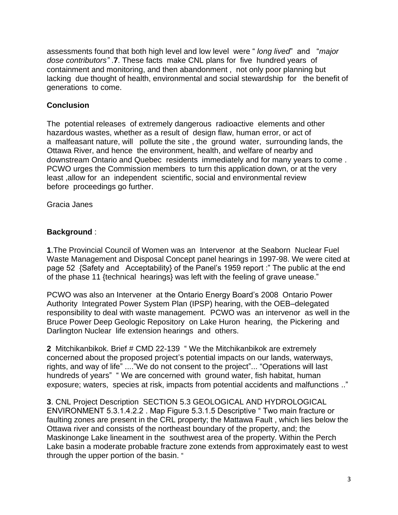lacking due thought of health, environmental and social stewardship for the benefit of generations to come. containment and monitoring, and then abandonment , not only poor planning but *dose contributors"* .**7**. These facts make CNL plans for five hundred years of assessments found that both high level and low level were " *long lived*" and "*major*

## **Conclusion**

before proceedings go further. least ,allow for an independent scientific, social and environmental review PCWO urges the Commission members to turn this application down, or at the very downstream Ontario and Quebec residents immediately and for many years to come . Ottawa River, and hence the environment, health, and welfare of nearby and a malfeasant nature, will pollute the site , the ground water, surrounding lands, the hazardous wastes, whether as a result of design flaw, human error, or act of The potential releases of extremely dangerous radioactive elements and other

Gracia Janes

## **Background** :

**1**.The Provincial Council of Women was an Intervenor at the Seaborn Nuclear Fuel Waste Management and Disposal Concept panel hearings in 1997-98. We were cited at page 52 {Safety and Acceptability} of the Panel's 1959 report :" The public at the end of the phase 11 {technical hearings} was left with the feeling of grave unease."

PCWO was also an Intervener at the Ontario Energy Board's 2008 Ontario Power Authority Integrated Power System Plan (IPSP) hearing, with the OEB–delegated responsibility to deal with waste management. PCWO was an intervenor as well in the Bruce Power Deep Geologic Repository on Lake Huron hearing, the Pickering and Darlington Nuclear life extension hearings and others.

**2** Mitchikanbikok. Brief # CMD 22-139 " We the Mitchikanbikok are extremely concerned about the proposed project's potential impacts on our lands, waterways, rights, and way of life" ...."We do not consent to the project"... "Operations will last hundreds of years" " We are concerned with ground water, fish habitat, human exposure; waters, species at risk, impacts from potential accidents and malfunctions .."

**3**. CNL Project Description SECTION 5.3 GEOLOGICAL AND HYDROLOGICAL ENVIRONMENT 5.3.1.4.2.2 . Map Figure 5.3.1.5 Descriptive " Two main fracture or faulting zones are present in the CRL property; the Mattawa Fault , which lies below the Ottawa river and consists of the northeast boundary of the property, and; the Maskinonge Lake lineament in the southwest area of the property. Within the Perch Lake basin a moderate probable fracture zone extends from approximately east to west through the upper portion of the basin. "